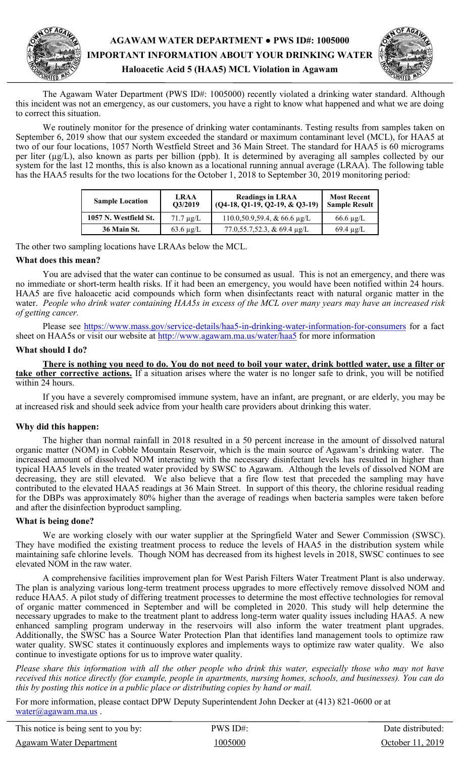

The Agawam Water Department (PWS ID#: 1005000) recently violated a drinking water standard. Although this incident was not an emergency, as our customers, you have a right to know what happened and what we are doing to correct this situation.

 We routinely monitor for the presence of drinking water contaminants. Testing results from samples taken on September 6, 2019 show that our system exceeded the standard or maximum contaminant level (MCL), for HAA5 at two of our four locations, 1057 North Westfield Street and 36 Main Street. The standard for HAA5 is 60 micrograms per liter (µg/L), also known as parts per billion (ppb). It is determined by averaging all samples collected by our system for the last 12 months, this is also known as a locational running annual average (LRAA). The following table has the HAA5 results for the two locations for the October 1, 2018 to September 30, 2019 monitoring period:

| <b>Sample Location</b> | <b>LRAA</b><br>O3/2019 | <b>Readings in LRAA</b><br>$(Q4-18, Q1-19, Q2-19, \& Q3-19)$ | <b>Most Recent</b><br><b>Sample Result</b> |
|------------------------|------------------------|--------------------------------------------------------------|--------------------------------------------|
| 1057 N. Westfield St.  | $71.7 \mu g/L$         | $110.0, 50.9, 59.4, \& 66.6 \text{ µg/L}$                    | $66.6 \mu g/L$                             |
| 36 Main St.            | $63.6 \mu g/L$         | 77.0,55.7,52.3, & 69.4 $\mu$ g/L                             | $69.4 \mu g/L$                             |

The other two sampling locations have LRAAs below the MCL.

## **What does this mean?**

 You are advised that the water can continue to be consumed as usual. This is not an emergency, and there was no immediate or short-term health risks. If it had been an emergency, you would have been notified within 24 hours. HAA5 are five haloacetic acid compounds which form when disinfectants react with natural organic matter in the water. *People who drink water containing HAA5s in excess of the MCL over many years may have an increased risk of getting cancer.* 

Please see [https://www.mass.gov/service](https://www.mass.gov/service-details/haa5-in-drinking-water-information-for-consumers)-details/haa5-in-drinking-water-information-for-consumers</u> for a fact sheet on HAA5s or visit our website at http://www.agawam.ma.us/water/haa5 for more information

### **What should I do?**

 **There is nothing you need to do. You do not need to boil your water, drink bottled water, use a filter or take other corrective actions.** If a situation arises where the water is no longer safe to drink, you will be notified within 24 hours.

 If you have a severely compromised immune system, have an infant, are pregnant, or are elderly, you may be at increased risk and should seek advice from your health care providers about drinking this water.

# **Why did this happen:**

The higher than normal rainfall in 2018 resulted in a 50 percent increase in the amount of dissolved natural organic matter (NOM) in Cobble Mountain Reservoir, which is the main source of Agawam's drinking water. The increased amount of dissolved NOM interacting with the necessary disinfectant levels has resulted in higher than typical HAA5 levels in the treated water provided by SWSC to Agawam. Although the levels of dissolved NOM are decreasing, they are still elevated. We also believe that a fire flow test that preceded the sampling may have contributed to the elevated HAA5 readings at 36 Main Street. In support of this theory, the chlorine residual reading for the DBPs was approximately 80% higher than the average of readings when bacteria samples were taken before and after the disinfection byproduct sampling.

#### **What is being done?**

We are working closely with our water supplier at the Springfield Water and Sewer Commission (SWSC). They have modified the existing treatment process to reduce the levels of HAA5 in the distribution system while maintaining safe chlorine levels. Though NOM has decreased from its highest levels in 2018, SWSC continues to see elevated NOM in the raw water.

 A comprehensive facilities improvement plan for West Parish Filters Water Treatment Plant is also underway. The plan is analyzing various long-term treatment process upgrades to more effectively remove dissolved NOM and reduce HAA5. A pilot study of differing treatment processes to determine the most effective technologies for removal of organic matter commenced in September and will be completed in 2020. This study will help determine the necessary upgrades to make to the treatment plant to address long-term water quality issues including HAA5. A new enhanced sampling program underway in the reservoirs will also inform the water treatment plant upgrades. Additionally, the SWSC has a Source Water Protection Plan that identifies land management tools to optimize raw water quality. SWSC states it continuously explores and implements ways to optimize raw water quality. We also continue to investigate options for us to improve water quality.

*Please share this information with all the other people who drink this water, especially those who may not have received this notice directly (for example, people in apartments, nursing homes, schools, and businesses). You can do this by posting this notice in a public place or distributing copies by hand or mail.*

For more information, please contact DPW Deputy Superintendent John Decker at (413) 821-0600 or at [water@agawam.ma.us](mailto:water@agawam.ma.us).

This notice is being sent to you by: PWS ID#: PWS ID#: Date distributed: